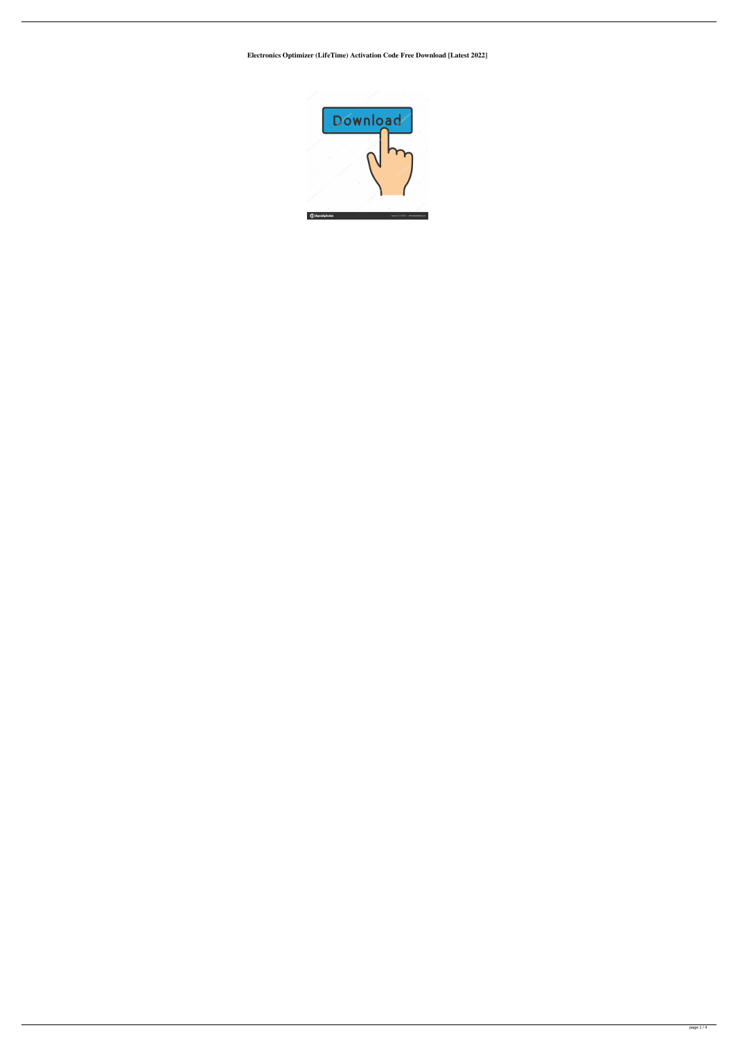**Electronics Optimizer (LifeTime) Activation Code Free Download [Latest 2022]**

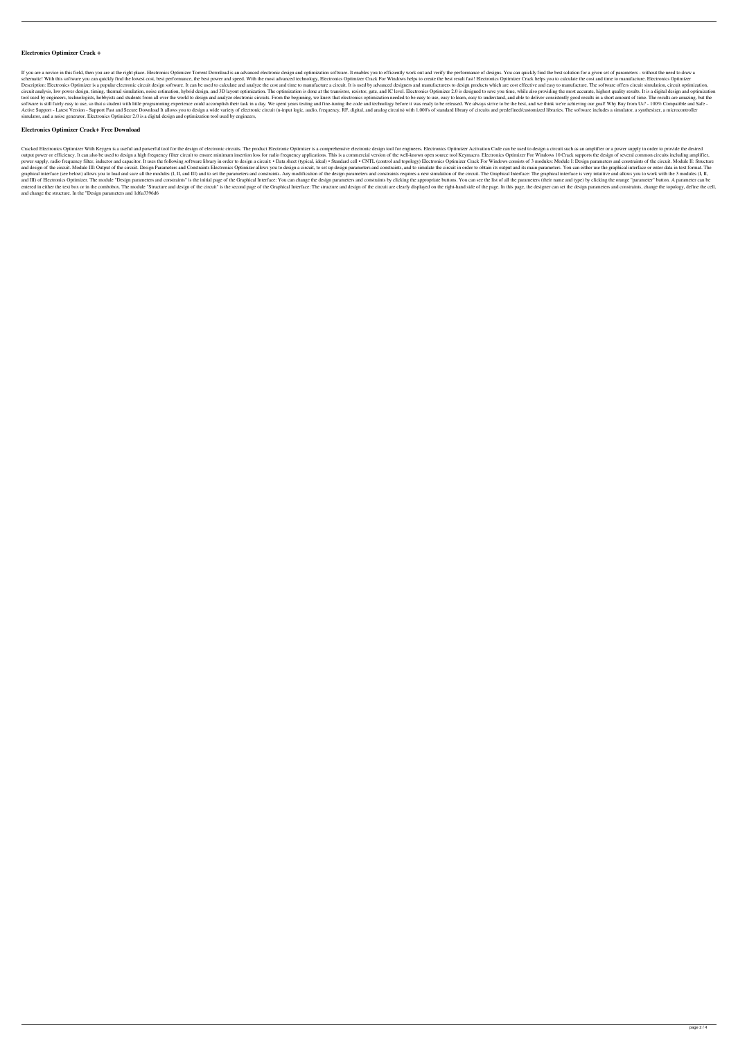## **Electronics Optimizer Crack +**

If you are a novice in this field, then you are at the right place. Electronics Optimizer Torrent Download is an advanced electronic design and optimization software. It enables you to efficiently work out and verify the p schematic! With this software you can quickly find the lowest cost, best performance, the best power and speed. With the most advanced technology, Electronics Optimizer Crack For Windows helps to create the best result fas Description: Electronics Optimizer is a popular electronic circuit design software. It can be used to calculate and analyze the cost and time to manufacture a circuit. It is used by advanced designers and manufacturers to circuit analysis, low power design, timing, thermal simulation, noise estimation, hybrid design, and 3D layout optimization. The optimization is done at the transistor, resistor, gate, and IC level. Electronics Optimizer 2 tool used by engineers, technologists, hobbyists and students from all over the world to design and analyze electronic circuits. From the beginning, we knew that electronics optimization needed to be easy to use, easy to u software is still fairly easy to use, so that a student with little programming experience could accomplish their task in a day. We spent years testing and fine-tuning the code and technology before it was ready to be rele Active Support - Latest Version - Support Fast and Secure Download It allows you to design a wide variety of electronic circuit (n-input logic, audio, frequency, RF, digital, and analog circuits) with 1,000's of standard l simulator, and a noise generator. Electronics Optimizer 2.0 is a digital design and optimization tool used by engineers,

Cracked Electronics Optimizer With Keygen is a useful and powerful tool for the design of electronic circuits. The product Electronic Optimizer is a comprehensive electronic Optimizer S. Electronics Optimizer Activation Co output power or efficiency. It can also be used to design a high frequency filter circuit to ensure minimum insertion loss for radio frequency applications. This is a commercial version of the well-known open source tool K power supply, radio frequency filter, inductor and capacitor. It uses the following software library in order to design a circuit: . Data sheet (typical, ideal) . Standard cell . CNTL (control and topology) Electronics Opt and design of the circuit. Module III: Output of the circuit. Design Parameters and Constraints Electronics Optimizer allows you to design a circuit, to set up design parameters and constraints, and to simulate the circuit graphical interface (see below) allows you to load and save all the modules (I, II, and III) and to set the parameters and constraints. Any modification of the design parameters and constraints requires a new simulation of and III) of Electronics Optimizer. The module "Design parameters and constraints" is the initial page of the Graphical Interface: You can change the design parameters and constraints by clicking the appropriate buttons. Yo entered in either the text box or in the combobox. The module "Structure and design of the circuit" is the second page of the Graphical Interface: The structure and design of the circuit are clearly displayed on the rightand change the structure. In the "Design parameters and 1d6a3396d6

#### **Electronics Optimizer Crack+ Free Download**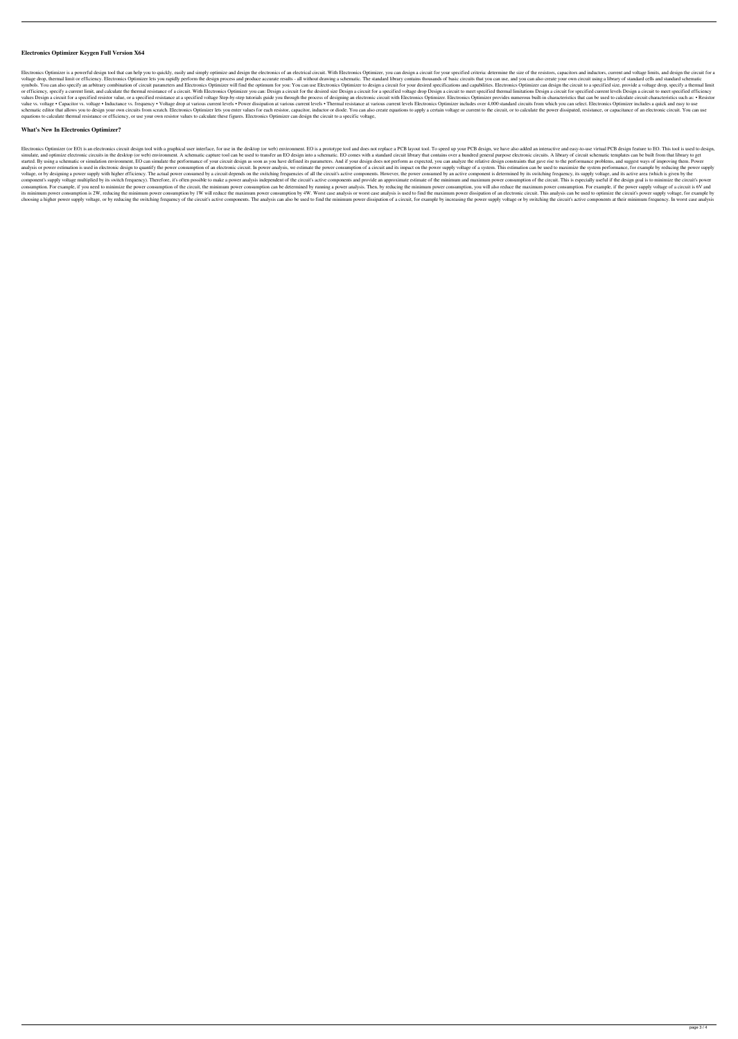### **Electronics Optimizer Keygen Full Version X64**

Electronics Optimizer is a powerful design tool that can help you to quickly, easily and simply optimize and design the electronics of an electronics Optimizer, you can design a circuit for your specified criteria: determi voltage drop, thermal limit or efficiency. Electronics Optimizer lets you rapidly perform the design process and produce accurate results - all without drawing a schematic. The standard library contains thousands of basic symbols. You can also specify an arbitrary combination of circuit parameters and Electronics Optimizer will find the optimum for you: You can use Electronics Optimizer to design a circuit for your desired specifications an or efficiency, specify a current limit, and calculate the thermal resistance of a circuit. With Electronics Optimizer you can: Design a circuit for the desired size Design a circuit for a specified voltage drop Design a ci values Design a circuit for a specified resistor value, or a specified resistance at a specified voltage Step-by-step tutorials guide you through the process of designing an electronic circuit with Electronics Optimizer pr value vs. voltage • Capacitor vs. voltage • Inductance vs. frequency • Voltage drop at various current levels • Power dissipation at various current levels • Thermal resistance at various current levels Electronics Optimiz schematic editor that allows you to design your own circuits from scratch. Electronics Optimizer lets you enter values for each resistor, capacitor, inductor or diode. You can also create equations to apply a certain volta equations to calculate thermal resistance or efficiency, or use your own resistor values to calculate these figures. Electronics Optimizer can design the circuit to a specific voltage,

#### **What's New In Electronics Optimizer?**

Electronics Optimizer (or EO) is an electronics circuit design tool with a graphical user interface, for use in the desktop (or web) environment. EO is a prototype tool and does not replace a PCB layout tool. To speed up y simulate, and optimize electronic circuits in the desktop (or web) environment. A schematic capture tool can be used to transfer an EO design into a schematic. EO comes with a standard circuit library that contains over a started. By using a schematic or simulation environment, EO can simulate the performance of your circuit design as soon as you have defined its parameters. And if your design does not perform as expected, you can analyze t analysis or power estimation is used in electronic design to quantify the power consumption of an electronic circuit. In power analysis, we estimate the power consumption of a circuit and its impact on the power supply vol voltage, or by designing a power supply with higher efficiency. The actual power consumed by a circuit depends on the switching frequencies of all the circuit's active components. However, the power consumed by an active c component's supply voltage multiplied by its switch frequency). Therefore, it's often possible to make a power analysis independent of the circuit's active components and provide an approximate estimate of the minimum and consumption. For example, if you need to minimize the power consumption of the circuit, the minimum power consumption can be determined by running a power analysis. Then, by reducing the minimum power consumption, you will its minimum power consumption is 2W, reducing the minimum power consumption by 1W will reduce the maximum power consumption by 4W. Worst case analysis or worst case analysis or worst case analysis is used to find the maxim choosing a higher power supply voltage, or by reducing the switching frequency of the circuit's active components. The analysis can also be used to find the minimum power dissipation of a circuit, for example by increasing